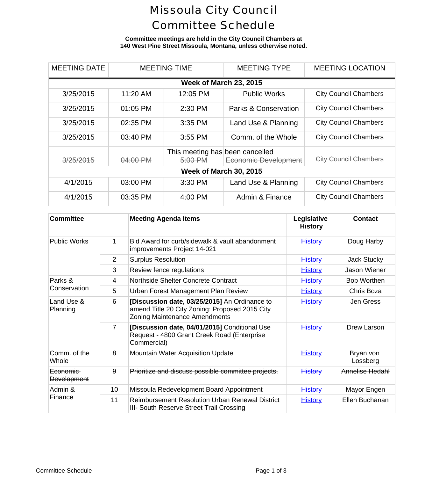# Missoula City Council Committee Schedule

**Committee meetings are held in the City Council Chambers at 140 West Pine Street Missoula, Montana, unless otherwise noted.**

| <b>MEETING DATE</b>           |          | <b>MEETING TIME</b>                        | <b>MEETING TYPE</b>             | <b>MEETING LOCA</b>      |  |
|-------------------------------|----------|--------------------------------------------|---------------------------------|--------------------------|--|
| <b>Week of March 23, 2015</b> |          |                                            |                                 |                          |  |
| 3/25/2015                     | 11:20 AM | 12:05 PM                                   | <b>Public Works</b>             | <b>City Council Cham</b> |  |
| 3/25/2015                     | 01:05 PM | 2:30 PM                                    | <b>Parks &amp; Conservation</b> | <b>City Council Cham</b> |  |
| 3/25/2015                     | 02:35 PM | 3:35 PM                                    | Land Use & Planning             | <b>City Council Cham</b> |  |
| 3/25/2015                     | 03:40 PM | 3:55 PM                                    | Comm. of the Whole              | <b>City Council Cham</b> |  |
| 3/25/2015                     | 04:00 PM | This meeting has been cancelled<br>5:00 PM | Economic Development            | <b>City Council Cham</b> |  |
| <b>Week of March 30, 2015</b> |          |                                            |                                 |                          |  |
| 4/1/2015                      | 03:00 PM | 3:30 PM                                    | Land Use & Planning             | <b>City Council Cham</b> |  |
| 4/1/2015                      | 03:35 PM | 4:00 PM                                    | Admin & Finance                 | <b>City Council Cham</b> |  |

| <b>Committee</b>               |                | <b>Meeting Agenda Items</b>                                                                                                      | Legislative<br><b>History</b> | <b>Cont</b>           |
|--------------------------------|----------------|----------------------------------------------------------------------------------------------------------------------------------|-------------------------------|-----------------------|
| <b>Public Works</b>            | 1              | Bid Award for curb/sidewalk & vault abandonment<br>improvements Project 14-021                                                   | <b>History</b>                | Doug H                |
|                                | $\overline{2}$ | <b>Surplus Resolution</b>                                                                                                        | <b>History</b>                | Jack St               |
|                                | 3              | Review fence regulations                                                                                                         | <b>History</b>                | Jason W               |
| Parks &<br>Conservation        | 4              | Northside Shelter Concrete Contract                                                                                              | <b>History</b>                | Bob Wo                |
|                                | 5              | Urban Forest Management Plan Review                                                                                              | <b>History</b>                | Chris E               |
| Land Use &<br>Planning         | 6              | [Discussion date, 03/25/2015] An Ordinance to<br>amend Title 20 City Zoning: Proposed 2015 City<br>Zoning Maintenance Amendments | <b>History</b>                | Jen Gl                |
|                                | 7              | [Discussion date, 04/01/2015] Conditional Use<br>Request - 4800 Grant Creek Road (Enterprise<br>Commercial)                      | <b>History</b>                | Drew La               |
| Comm. of the<br>Whole          | 8              | <b>Mountain Water Acquisition Update</b>                                                                                         | <b>History</b>                | <b>Bryan</b><br>Lossb |
| Economic<br><b>Development</b> | 9              | Prioritize and discuss possible committee projects.                                                                              | <b>History</b>                | Annelise              |
| Admin &<br>Finance             | 10             | Missoula Redevelopment Board Appointment                                                                                         | <b>History</b>                | Mayor E               |
|                                | 11             | <b>Reimbursement Resolution Urban Renewal District</b><br>III- South Reserve Street Trail Crossing                               | <b>History</b>                | Ellen Bud             |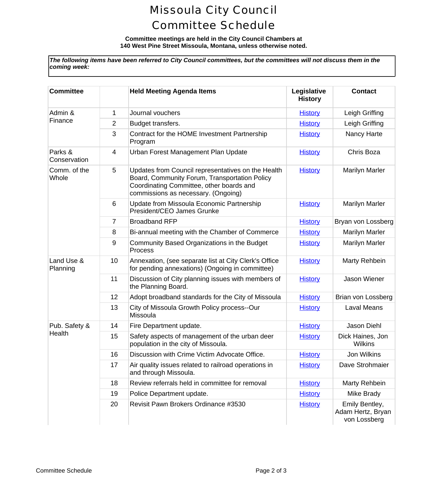# Missoula City Council Committee Schedule

#### **Committee meetings are held in the City Council Chambers at 140 West Pine Street Missoula, Montana, unless otherwise noted.**

*The following items have been referred to City Council committees, but the committees will not discuss them in the coming week:*

| <b>Committee</b>        |    | <b>Held Meeting Agenda Items</b>                                                                                                                                                       | Legislative<br><b>History</b> | Conta                                             |
|-------------------------|----|----------------------------------------------------------------------------------------------------------------------------------------------------------------------------------------|-------------------------------|---------------------------------------------------|
| Admin &<br>Finance      | 1  | Journal vouchers                                                                                                                                                                       | <b>History</b>                | Leigh Gr                                          |
|                         | 2  | Budget transfers.                                                                                                                                                                      | <b>History</b>                | Leigh Gr                                          |
|                         | 3  | Contract for the HOME Investment Partnership<br>Program                                                                                                                                | <b>History</b>                | Nancy H                                           |
| Parks &<br>Conservation | 4  | Urban Forest Management Plan Update                                                                                                                                                    | <b>History</b>                | Chris B                                           |
| Comm. of the<br>Whole   | 5  | Updates from Council representatives on the Health<br>Board, Community Forum, Transportation Policy<br>Coordinating Committee, other boards and<br>commissions as necessary. (Ongoing) | <b>History</b>                | Marilyn N                                         |
|                         | 6  | Update from Missoula Economic Partnership<br>President/CEO James Grunke                                                                                                                | <b>History</b>                | Marilyn N                                         |
|                         | 7  | <b>Broadband RFP</b>                                                                                                                                                                   | <b>History</b>                | Bryan von L                                       |
|                         | 8  | Bi-annual meeting with the Chamber of Commerce                                                                                                                                         | <b>History</b>                | Marilyn N                                         |
|                         | 9  | Community Based Organizations in the Budget<br>Process                                                                                                                                 | <b>History</b>                | Marilyn N                                         |
| Land Use &<br>Planning  | 10 | Annexation, (see separate list at City Clerk's Office<br>for pending annexations) (Ongoing in committee)                                                                               | <b>History</b>                | Marty Re                                          |
|                         | 11 | Discussion of City planning issues with members of<br>the Planning Board.                                                                                                              | <b>History</b>                | Jason W                                           |
|                         | 12 | Adopt broadband standards for the City of Missoula                                                                                                                                     | <b>History</b>                | Brian von L                                       |
|                         | 13 | City of Missoula Growth Policy process--Our<br>Missoula                                                                                                                                | <b>History</b>                | Laval M                                           |
| Pub. Safety &           | 14 | Fire Department update.                                                                                                                                                                | <b>History</b>                | Jason D                                           |
| Health                  | 15 | Safety aspects of management of the urban deer<br>population in the city of Missoula.                                                                                                  | <b>History</b>                | <b>Dick Haine</b><br>Wilkir                       |
|                         | 16 | Discussion with Crime Victim Advocate Office.                                                                                                                                          | <b>History</b>                | Jon Wil                                           |
|                         | 17 | Air quality issues related to railroad operations in<br>and through Missoula.                                                                                                          | <b>History</b>                | Dave Stro                                         |
|                         | 18 | Review referrals held in committee for removal                                                                                                                                         | <b>History</b>                | Marty Re                                          |
|                         | 19 | Police Department update.                                                                                                                                                              | <b>History</b>                | Mike Br                                           |
|                         | 20 | Revisit Pawn Brokers Ordinance #3530                                                                                                                                                   | <b>History</b>                | <b>Emily Bel</b><br><b>Adam Hertz</b><br>von Loss |